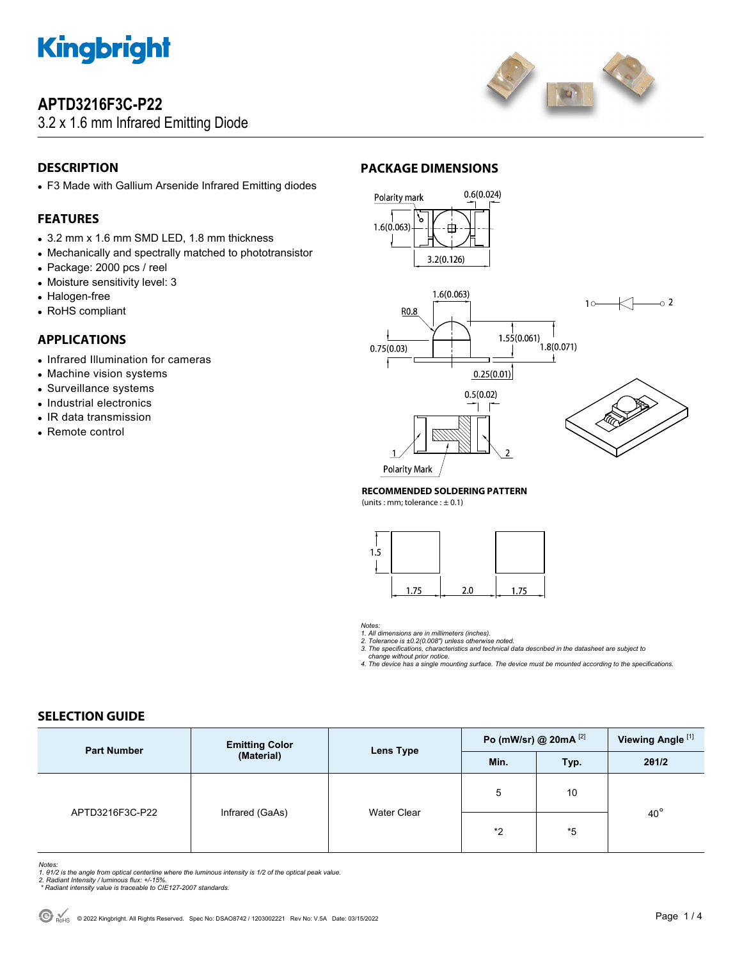

### **APTD3216F3C-P22**

3.2 x 1.6 mm Infrared Emitting Diode



### **DESCRIPTION**

F3 Made with Gallium Arsenide Infrared Emitting diodes

#### **FEATURES**

- 3.2 mm x 1.6 mm SMD LED, 1.8 mm thickness
- Mechanically and spectrally matched to phototransistor
- Package: 2000 pcs / reel
- Moisture sensitivity level: 3
- Halogen-free
- RoHS compliant

#### **APPLICATIONS**

- Infrared Illumination for cameras
- Machine vision systems
- Surveillance systems
- Industrial electronics
- IR data transmission
- Remote control

#### **PACKAGE DIMENSIONS**







 $\overline{\phantom{0}}$  2

**Polarity Mark** 

#### **RECOMMENDED SOLDERING PATTERN**

(units : mm; tolerance  $: \pm 0.1$ )



*Notes: 1. All dimensions are in millimeters (inches). 2. Tolerance is ±0.2(0.008") unless otherwise noted.* 

*3. The specifications, characteristics and technical data described in the datasheet are subject to change without prior notice.* 

*4. The device has a single mounting surface. The device must be mounted according to the specifications.* 

#### **SELECTION GUIDE**

| <b>Part Number</b> | <b>Emitting Color</b><br>(Material) | <b>Lens Type</b> | Po (mW/sr) @ 20mA $^{[2]}$ |      | Viewing Angle <sup>[1]</sup> |
|--------------------|-------------------------------------|------------------|----------------------------|------|------------------------------|
|                    |                                     |                  | Min.                       | Typ. | 201/2                        |
| APTD3216F3C-P22    | Infrared (GaAs)                     | Water Clear      | 5                          | 10   | $40^{\circ}$                 |
|                    |                                     |                  | *2                         | *5   |                              |

- 
- 

Notes:<br>1. 61/2 is the angle from optical centerline where the luminous intensity is 1/2 of the optical peak value.<br>2. Radiant Intensity / luminous flux: +/-15%.<br>\* Radiant intensity value is traceable to CIE127-2007 standar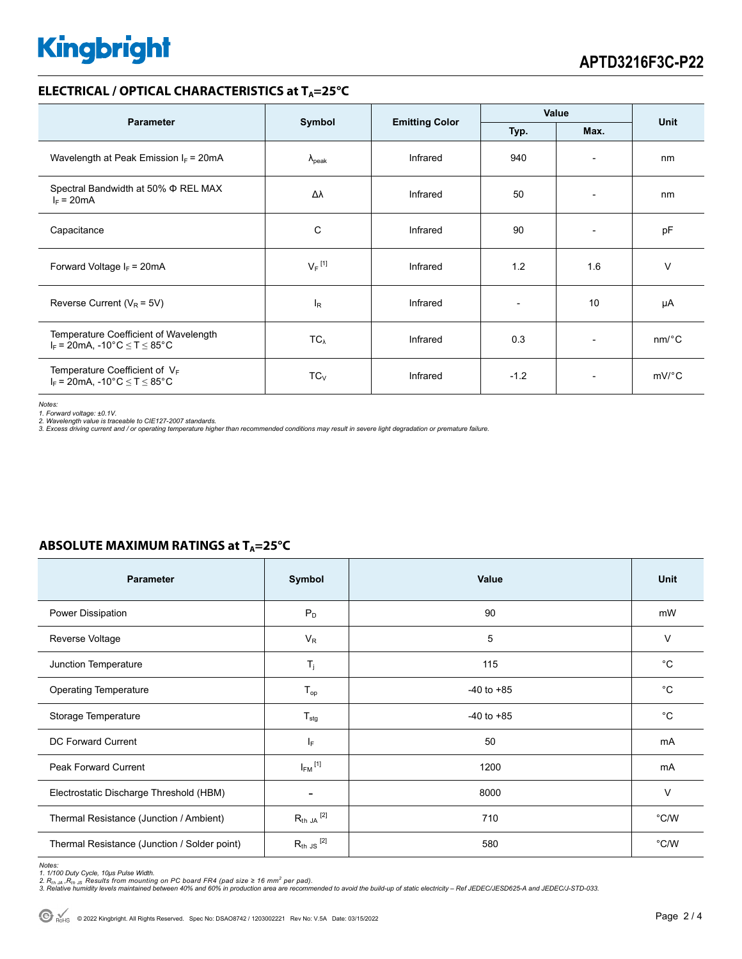# **Kingbright**

#### **ELECTRICAL / OPTICAL CHARACTERISTICS at T<sub>A</sub>=25°C**

| <b>Parameter</b>                                                                                               |                      |                                       | Value                        |                          | <b>Unit</b>           |
|----------------------------------------------------------------------------------------------------------------|----------------------|---------------------------------------|------------------------------|--------------------------|-----------------------|
|                                                                                                                | Symbol               | <b>Emitting Color</b><br>Typ.<br>Max. |                              |                          |                       |
| Wavelength at Peak Emission $I_F$ = 20mA                                                                       | $\lambda_{\rm peak}$ | Infrared                              | 940                          | $\overline{\phantom{a}}$ | nm                    |
| Spectral Bandwidth at 50% Φ REL MAX<br>$I_F = 20mA$                                                            | Δλ                   | Infrared                              | 50                           | $\overline{\phantom{a}}$ | nm                    |
| Capacitance                                                                                                    | C                    | Infrared                              | 90                           | $\overline{\phantom{a}}$ | pF                    |
| Forward Voltage $I_F$ = 20mA                                                                                   | $V_F$ <sup>[1]</sup> | Infrared                              | 1.2                          | 1.6                      | $\vee$                |
| Reverse Current ( $V_R$ = 5V)                                                                                  | ΙR                   | Infrared                              | $\qquad \qquad \blacksquare$ | 10                       | μA                    |
| Temperature Coefficient of Wavelength<br>$I_F$ = 20mA, -10°C $\leq T \leq 85$ °C                               | $TC_{\lambda}$       | Infrared                              | 0.3                          |                          | $nm$ <sup>o</sup> $C$ |
| Temperature Coefficient of $V_F$<br>$I_F = 20 \text{mA}, -10^{\circ} \text{C} \leq T \leq 85^{\circ} \text{C}$ | $TC_{V}$             | Infrared                              | $-1.2$                       | $\overline{\phantom{a}}$ | $mV$ <sup>o</sup> $C$ |

*Notes:* 

1. Forward voltage: ±0.1V.<br>2. Wavelength value is traceable to CIE127-2007 standards.<br>3. Excess driving current and / or operating temperature higher than recommended conditions may result in severe light degradation or pr

| <b>Parameter</b>                             | Symbol               | Value          | <b>Unit</b>   |
|----------------------------------------------|----------------------|----------------|---------------|
| Power Dissipation                            | $P_D$                | 90             | mW            |
| Reverse Voltage                              | $V_{R}$              | 5              | V             |
| Junction Temperature                         | $T_j$                | 115            | $^{\circ}C$   |
| <b>Operating Temperature</b>                 | $T_{op}$             | $-40$ to $+85$ | $^{\circ}C$   |
| Storage Temperature                          | $T_{\text{stg}}$     | $-40$ to $+85$ | $^{\circ}C$   |
| <b>DC Forward Current</b>                    | IF.                  | 50             | mA            |
| <b>Peak Forward Current</b>                  | $I_{FM}$ [1]         | 1200           | mA            |
| Electrostatic Discharge Threshold (HBM)      |                      | 8000           | $\vee$        |
| Thermal Resistance (Junction / Ambient)      | $R_{th}$ JA $^{[2]}$ | 710            | $\degree$ C/W |
| Thermal Resistance (Junction / Solder point) | $R_{th}$ JS $^{[2]}$ | 580            | $\degree$ C/W |

#### **ABSOLUTE MAXIMUM RATINGS at T<sub>A</sub>=25°C**

Notes:<br>1. 1/100 Duty Cycle, 10µs Pulse Width.<br>2. R<sub>th JA</sub> ,R<sub>th JS</sub> Results from mounting on PC board FR4 (pad size ≥ 16 mm<sup>2</sup> per pad).<br>3. Relative humidity levels maintained between 40% and 60% in production area are re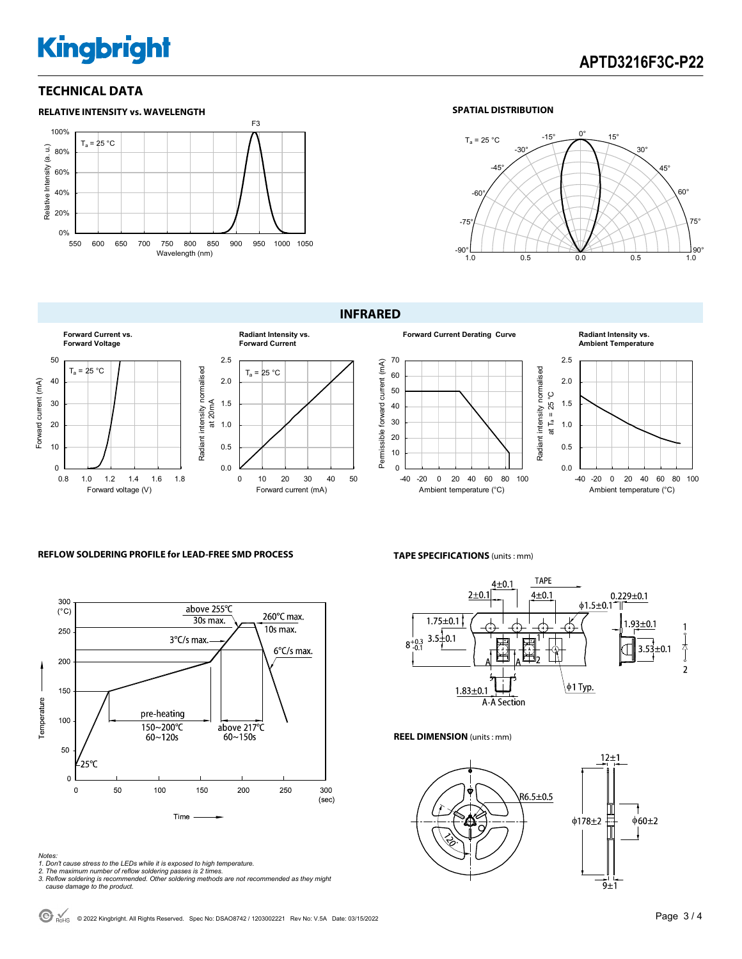# **Kingbright**

#### **TECHNICAL DATA**





F3

#### **SPATIAL DISTRIBUTION**



#### **INFRARED**





#### **Radiant Intensity vs. Ambient Temperature**



#### **REFLOW SOLDERING PROFILE for LEAD-FREE SMD PROCESS**



- 
- 
- Notes:<br>1. Don't cause stress to the LEDs while it is exposed to high temperature.<br>2. The maximum number of reflow soldering passes is 2 times.<br>3. Reflow soldering is recommended. Other soldering methods are not recommended

#### **TAPE SPECIFICATIONS** (units : mm)



#### **REEL DIMENSION** (units : mm)